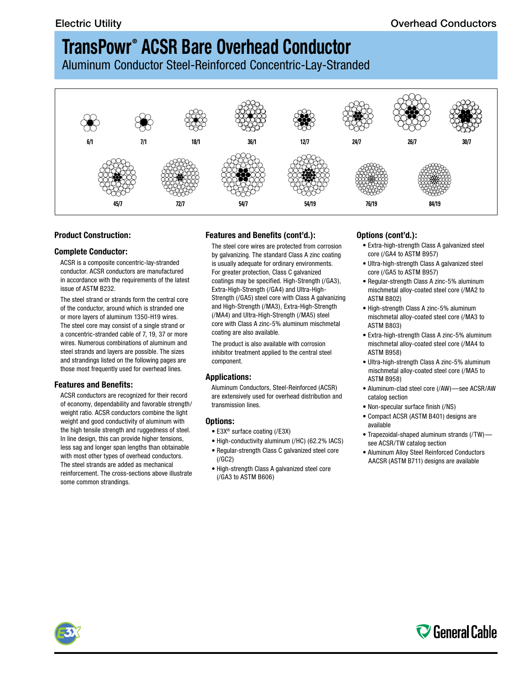## **TransPowr ® ACSR Bare Overhead Conductor**

Aluminum Conductor Steel-Reinforced Concentric-Lay-Stranded



### **Product Construction:**

### **Complete Conductor:**

ACSR is a composite concentric-lay-stranded conductor. ACSR conductors are manufactured in accordance with the requirements of the latest issue of ASTM B232.

The steel strand or strands form the central core of the conductor, around which is stranded one or more layers of aluminum 1350-H19 wires. The steel core may consist of a single strand or a concentric-stranded cable of 7, 19, 37 or more wires. Numerous combinations of aluminum and steel strands and layers are possible. The sizes and strandings listed on the following pages are those most frequently used for overhead lines.

### **Features and Benefits:**

ACSR conductors are recognized for their record of economy, dependability and favorable strength/ weight ratio. ACSR conductors combine the light weight and good conductivity of aluminum with the high tensile strength and ruggedness of steel. In line design, this can provide higher tensions, less sag and longer span lengths than obtainable with most other types of overhead conductors. The steel strands are added as mechanical reinforcement. The cross-sections above illustrate some common strandings.

### **Features and Benefits (cont'd.):**

The steel core wires are protected from corrosion by galvanizing. The standard Class A zinc coating is usually adequate for ordinary environments. For greater protection, Class C galvanized coatings may be specified. High-Strength (/GA3), Extra-High-Strength (/GA4) and Ultra-High-Strength (/GA5) steel core with Class A galvanizing and High-Strength (/MA3), Extra-High-Strength (/MA4) and Ultra-High-Strength (/MA5) steel core with Class A zinc-5% aluminum mischmetal coating are also available.

The product is also available with corrosion inhibitor treatment applied to the central steel component.

#### **Applications:**

Aluminum Conductors, Steel-Reinforced (ACSR) are extensively used for overhead distribution and transmission lines.

#### **Options:**

- E3X® surface coating (/E3X)
- High-conductivity aluminum (/HC) (62.2% IACS)
- Regular-strength Class C galvanized steel core (/GC2)
- High-strength Class A galvanized steel core (/GA3 to ASTM B606)

### **Options (cont'd.):**

- Extra-high-strength Class A galvanized steel core (/GA4 to ASTM B957)
- Ultra-high-strength Class A galvanized steel core (/GA5 to ASTM B957)
- Regular-strength Class A zinc-5% aluminum mischmetal alloy-coated steel core (/MA2 to ASTM B802)
- High-strength Class A zinc-5% aluminum mischmetal alloy-coated steel core (/MA3 to ASTM B803)
- Extra-high-strength Class A zinc-5% aluminum mischmetal alloy-coated steel core (/MA4 to ASTM B958)
- Ultra-high-strength Class A zinc-5% aluminum mischmetal alloy-coated steel core (/MA5 to ASTM B958)
- Aluminum-clad steel core (/AW)—see ACSR/AW catalog section
- Non-specular surface finish (/NS)
- Compact ACSR (ASTM B401) designs are available
- Trapezoidal-shaped aluminum strands (/TW) see ACSR/TW catalog section
- Aluminum Alloy Steel Reinforced Conductors AACSR (ASTM B711) designs are available



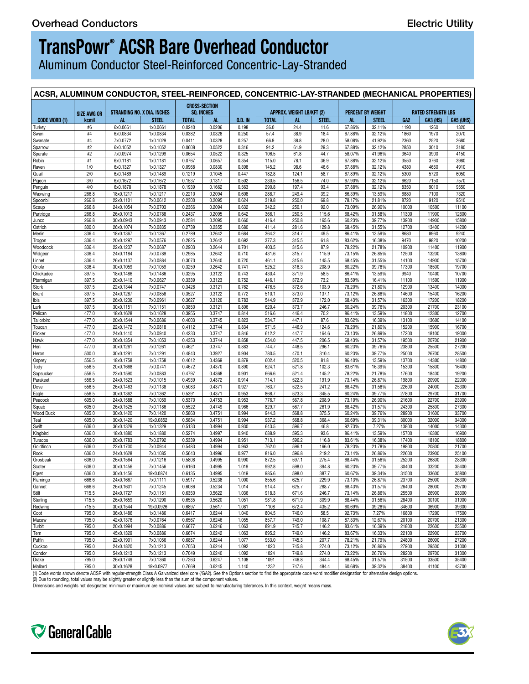## **TransPowr® ACSR Bare Overhead Conductor**

Aluminum Conductor Steel-Reinforced Concentric-Lay-Stranded

| ACSR, ALUMINUM CONDUCTOR, STEEL-REINFORCED, CONCENTRIC-LAY-STRANDED (MECHANICAL PROPERTIES) |                |                        |                       |                  |                                    |                |                |                           |                |                          |                  |                |                           |                |  |
|---------------------------------------------------------------------------------------------|----------------|------------------------|-----------------------|------------------|------------------------------------|----------------|----------------|---------------------------|----------------|--------------------------|------------------|----------------|---------------------------|----------------|--|
| STRANDING NO. X DIA. INCHES<br><b>SIZE AWG OR</b>                                           |                |                        |                       |                  | <b>CROSS-SECTION</b><br>SQ. INCHES |                |                | APPROX. WEIGHT LB/KFT (2) |                | <b>PERCENT BY WEIGHT</b> |                  |                | <b>RATED STRENGTH LBS</b> |                |  |
| Code Word (1)                                                                               | kcmil          | - AL                   | <b>STEEL</b>          | TOTAL            | - AL                               | 0.D. IN        | TOTAL          | AL.                       | <b>STEEL</b>   | AL .                     | STEEL            | GA2            | GA3 (HS)   GA5 (UHS)      |                |  |
| <b>Turkey</b>                                                                               | #6             | 6x0.0661               | 1x0.0661              | 0.0240           | 0.0206                             | 0.198          | 36.0           | 24.4                      | 11.6           | 67.86%                   | 32.11%           | 1190           | 1260                      | 1320           |  |
| Swan<br>Swanate                                                                             | #4<br>#4       | 6x0.0834<br>7x0.0772   | 1x0.0834<br>1x0.1029  | 0.0382<br>0.0411 | 0.0328<br>0.0328                   | 0.250<br>0.257 | 57.4<br>66.9   | 38.9<br>38.8              | 18.4<br>28.0   | 67.88%<br>58.08%         | 32.12%<br>41.92% | 1860<br>2360   | 1970<br>2520              | 2070<br>2680   |  |
| Sparrow                                                                                     | #2             | 6x0.1052               | 1x0.1052              | 0.0608           | 0.0522                             | 0.316          | 91.2           | 61.9                      | 29.3           | 67.88%                   | 32.12%           | 2850           | 3010                      | 3180           |  |
| Sparate                                                                                     | #2             | 7x0.0974               | 1x0.1299              | 0.0654           | 0.0522                             | 0.325          | 106.5          | 61.8                      | 44.7           | 58.07%                   | 41.96%           | 3640           | 3900                      | 4150           |  |
| Robin<br>Raven                                                                              | #1<br>1/0      | 6x0.1181<br>6x0.1327   | 1x0.1181<br>1x0.1327  | 0.0767<br>0.0968 | 0.0657<br>0.0830                   | 0.354<br>0.398 | 115.0<br>145.2 | 78.1<br>98.6              | 36.9<br>46.6   | 67.88%<br>67.88%         | 32.12%<br>32.12% | 3550<br>4380   | 3760<br>4650              | 3980<br>4910   |  |
| Quail                                                                                       | 2/0            | 6x0.1489               | 1x0.1489              | 0.1219           | 0.1045                             | 0.447          | 182.8          | 124.1                     | 58.7           | 67.89%                   | 32.12%           | 5300           | 5720                      | 6050           |  |
| Pigeon                                                                                      | 3/0            | 6x0.1672               | 1x0.1672              | 0.1537           | 0.1317                             | 0.502          | 230.5          | 156.5                     | 74.0           | 67.90%                   | 32.12%           | 6620           | 7150                      | 7570           |  |
| Penguin                                                                                     | 4/0            | 6x0.1878<br>18x0.1217  | 1x0.1878              | 0.1939<br>0.2210 | 0.1662<br>0.2094                   | 0.563<br>0.608 | 290.8          | 197.4                     | 93.4           | 67.88%<br>86.39%         | 32.12%<br>13.59% | 8350           | 9010<br>7100              | 9550<br>7320   |  |
| Waxwing<br>Spoonbill                                                                        | 266.8<br>266.8 | 22x0.1101              | 1x0.1217<br>7x0.0612  | 0.2300           | 0.2095                             | 0.624          | 288.7<br>319.8 | 249.4<br>250.0            | 39.2<br>69.8   | 78.17%                   | 21.81%           | 6880<br>8720   | 9120                      | 9510           |  |
| Scaup                                                                                       | 266.8          | 24x0.1054              | 7x0.0703              | 0.2366           | 0.2094                             | 0.632          | 342.2          | 250.1                     | 92.0           | 73.09%                   | 26.90%           | 10000          | 10500                     | 11100          |  |
| Partridge                                                                                   | 266.8          | 26x0.1013              | 7x0.0788              | 0.2437           | 0.2095                             | 0.642          | 366.1          | 250.5                     | 115.6          | 68.42%                   | 31.58%           | 11300          | 11900                     | 12600          |  |
| Junco                                                                                       | 266.8          | 30x0.0943              | 7x0.0943              | 0.2584           | 0.2095                             | 0.660          | 416.4          | 250.8                     | 165.6          | 60.23%                   | 39.77%           | 13900          | 14900                     | 15800          |  |
| Ostrich<br>Merlin                                                                           | 300.0<br>336.4 | 26x0.1074<br>18x0.1367 | 7x0.0835<br>1x0.1367  | 0.2739<br>0.2789 | 0.2355<br>0.2642                   | 0.680<br>0.684 | 411.4<br>364.2 | 281.6<br>314.7            | 129.8<br>49.5  | 68.45%<br>86.41%         | 31.55%<br>13.59% | 12700<br>8680  | 13400<br>8960             | 14200<br>9240  |  |
| <b>Trogon</b>                                                                               | 336.4          | 20x0.1297              | 7x0.0576              | 0.2825           | 0.2642                             | 0.692          | 377.3          | 315.5                     | 61.8           | 83.62%                   | 16.38%           | 9470           | 9820                      | 10200          |  |
| Woodcock                                                                                    | 336.4          | 22x0.1237              | 7x0.0687              | 0.2903           | 0.2644                             | 0.701          | 403.5          | 315.6                     | 87.9           | 78.22%                   | 21.78%           | 10900          | 11400                     | 11900          |  |
| Widgeon                                                                                     | 336.4          | 24x0.1184              | 7x0.0789              | 0.2985           | 0.2642                             | 0.710          | 431.6          | 315.7                     | 115.9          | 73.15%                   | 26.85%           | 12500          | 13200                     | 13800          |  |
| Linnet                                                                                      | 336.4<br>336.4 | 26x0.1137<br>30x0.1059 | 7x0.0884<br>7x0.1059  | 0.3070<br>0.3259 | 0.2640<br>0.2642                   | 0.720<br>0.741 | 461.1<br>525.2 | 315.6<br>316.3            | 145.5<br>208.9 | 68.45%                   | 31.55%           | 14100<br>17300 | 14900<br>18500            | 15700<br>19700 |  |
| Oriole<br>Chickadee                                                                         | 397.5          | 18x0.1486              | 1x0.1486              | 0.3295           | 0.3122                             | 0.743          | 430.4          | 371.9                     | 58.5           | 60.22%<br>86.41%         | 39.78%<br>13.59% | 9940           | 10400                     | 10700          |  |
| Ptarmigan                                                                                   | 397.5          | 20x0.1410              | 7x0.0627              | 0.3339           | 0.3123                             | 0.752          | 446.1          | 372.9                     | 73.2           | 83.59%                   | 16.41%           | 11100          | 11500                     | 11900          |  |
| <b>Stork</b>                                                                                | 397.5          | 22x0.1344              | 7x0.0747              | 0.3428           | 0.3121                             | 0.762          | 476.5          | 372.6                     | 103.9          | 78.20%                   | 21.80%           | 12900          | 13400                     | 14000          |  |
| <b>Brant</b>                                                                                | 397.5          | 24x0.1287              | 7x0.0858              | 0.3527           | 0.3122                             | 0.772          | 510.1          | 373.0                     | 137.1          | 73.12%                   | 26.88%           | 14600          | 15400                     | 16200          |  |
| Ibis<br>Lark                                                                                | 397.5<br>397.5 | 26x0.1236<br>30x0.1151 | 7x0.0961<br>7x0.1151  | 0.3627<br>0.3850 | 0.3120<br>0.3121                   | 0.783<br>0.806 | 544.9<br>620.4 | 372.9<br>373.7            | 172.0<br>246.7 | 68.43%<br>60.24%         | 31.57%<br>39.76% | 16300<br>20300 | 17200<br>21700            | 18200<br>23100 |  |
| Pelican                                                                                     | 477.0          | 18x0.1628              | 1x0.1628              | 0.3955           | 0.3747                             | 0.814          | 516.6          | 446.4                     | 70.2           | 86.41%                   | 13.59%           | 11800          | 12300                     | 12700          |  |
| Tailorbird                                                                                  | 477.0          | 20x0.1544              | 7x0.0686              | 0.4003           | 0.3745                             | 0.823          | 534.7          | 447.1                     | 87.6           | 83.62%                   | 16.39%           | 13100          | 13600                     | 14100          |  |
| Toucan                                                                                      | 477.0          | 22x0.1472              | 7x0.0818              | 0.4112           | 0.3744                             | 0.834          | 571.5          | 446.9                     | 124.6          | 78.20%                   | 21.80%           | 15200          | 15900                     | 16700          |  |
| Flicker<br>Hawk                                                                             | 477.0<br>477.0 | 24x0.1410<br>26x0.1354 | 7x0.0940<br>7x0.1053  | 0.4233<br>0.4353 | 0.3747<br>0.3744                   | 0.846<br>0.858 | 612.2<br>654.0 | 447.7<br>447.5            | 164.6<br>206.5 | 73.13%<br>68.43%         | 26.89%<br>31.57% | 17200<br>19500 | 18100<br>20700            | 19000<br>21900 |  |
| Hen                                                                                         | 477.0          | 30x0.1261              | 7x0.1261              | 0.4621           | 0.3747                             | 0.883          | 744.7          | 448.5                     | 296.1          | 60.23%                   | 39.76%           | 23800          | 25500                     | 27200          |  |
| <b>Heron</b>                                                                                | 500.0          | 30x0.1291              | 7x0.1291              | 0.4843           | 0.3927                             | 0.904          | 780.5          | 470.1                     | 310.4          | 60.23%                   | 39.77%           | 25000          | 26700                     | 28500          |  |
| Osprey                                                                                      | 556.5          | 18x0.1758              | 1x0.1758              | 0.4612           | 0.4369                             | 0.879          | 602.4          | 520.5                     | 81.8           | 86.40%                   | 13.59%           | 13700          | 14300                     | 14800          |  |
| Tody                                                                                        | 556.5          | 20x0.1668              | 7x0.0741              | 0.4672           | 0.4370                             | 0.890          | 624.1          | 521.8                     | 102.3          | 83.61%                   | 16.39%           | 15300          | 15800                     | 16400          |  |
| <b>Sapsucker</b>                                                                            | 556.5<br>556.5 | 22x0.1590<br>24x0.1523 | 7x0.0883              | 0.4797<br>0.4939 | 0.4368<br>0.4372                   | 0.901<br>0.914 | 666.6<br>714.1 | 521.4<br>522.3            | 145.2<br>191.9 | 78.22%<br>73.14%         | 21.78%           | 17600          | 18400                     | 19200          |  |
| Parakeet<br>Dove                                                                            | 556.5          | 26x0.1463              | 7x0.1015<br>7x0.1138  | 0.5083           | 0.4371                             | 0.927          | 763.7          | 522.5                     | 241.2          | 68.42%                   | 26.87%<br>31.58% | 19800<br>22600 | 20900<br>24000            | 22000<br>25300 |  |
| Eagle                                                                                       | 556.5          | 30x0.1362              | 7x0.1362              | 0.5391           | 0.4371                             | 0.953          | 868.7          | 523.3                     | 345.5          | 60.24%                   | 39.77%           | 27800          | 29700                     | 31700          |  |
| Peacock                                                                                     | 605.0          | 24x0.1588              | 7x0.1059              | 0.5370           | 0.4753                             | 0.953          | 776.7          | 567.8                     | 208.9          | 73.10%                   | 26.90%           | 21600          | 22700                     | 23900          |  |
| Squab                                                                                       | 605.0          | 26x0.1525              | 7x0.1186              | 0.5522           | 0.4749                             | 0.966          | 829.7          | 567.7                     | 261.9          | 68.42%                   | 31.57%           | 24300          | 25800                     | 27300          |  |
| Wood Duck<br>Teal                                                                           | 605.0<br>605.0 | 30x0.1420<br>30x0.1420 | 7x0.1420<br>19x0.0852 | 0.5860<br>0.5834 | 0.4751<br>0.4751                   | 0.994<br>0.994 | 944.3<br>937.2 | 568.8<br>568.8            | 375.5<br>368.4 | 60.24%<br>60.69%         | 39.76%<br>39.31% | 28900<br>30000 | 31600<br>32000            | 33700<br>34000 |  |
| Swift                                                                                       | 636.0          | 36x0.1329              | 1x0.1329              | 0.5133           | 0.4994                             | 0.930          | 643.5          | 596.7                     | 46.8           | 92.73%                   | 7.27%            | 13800          | 14000                     | 14300          |  |
| Kingbird                                                                                    | 636.0          | 18x0.1880              | 1x0.1880              | 0.5274           | 0.4997                             | 0.940          | 688.9          | 595.3                     | 93.6           | 86.41%                   | 13.59%           | 15700          | 16300                     | 16900          |  |
| Turacos                                                                                     | 636.0          | 20x0.1783              | 7x0.0792              | 0.5339           | 0.4994                             | 0.951          | 713.1          | 596.2                     | 116.8          | 83.61%                   | 16.38%           | 17400          | 18100                     | 18800          |  |
| Goldfinch                                                                                   | 636.0          | 22x0.1700              | 7x0.0944              | 0.5483           | 0.4994                             | 0.963          | 762.0          | 596.1                     | 166.0          | 78.23%                   | 21.78%           | 19800          | 20800                     | 21700          |  |
| Rook<br>Grosbeak                                                                            | 636.0<br>636.0 | 24x0.1628<br>26x0.1564 | 7x0.1085<br>7x0.1216  | 0.5643<br>0.5808 | 0.4996<br>0.4995                   | 0.977<br>0.990 | 816.0<br>872.5 | 596.8<br>597.1            | 219.2<br>275.4 | 73.14%<br>68.44%         | 26.86%<br>31.56% | 22600<br>25200 | 23900<br>26800            | 25100<br>28300 |  |
| Scoter                                                                                      | 636.0          | 30x0.1456              | 7x0.1456              | 0.6160           | 0.4995                             | 1.019          | 992.8          | 598.0                     | 394.8          | 60.23%                   | 39.77%           | 30400          | 33200                     | 35400          |  |
| Egret                                                                                       | 636.0          | 30x0.1456              | 19x0.0874             | 0.6135           | 0.4995                             | 1.019          | 985.6          | 598.0                     | 387.7          | 60.67%                   | 39.34%           | 31500          | 33600                     | 35800          |  |
| Flamingo                                                                                    | 666.6          | 24x0.1667              | 7x0.1111              | 0.5917           | 0.5238                             | 1.000          | 855.6          | 625.7                     | 229.9          | 73.13%                   | 26.87%           | 23700          | 25000                     | 26300          |  |
| Gannet                                                                                      | 666.6          | 26x0.1601              | 7x0.1245              | 0.6086           | 0.5234                             | 1.014          | 914.4          | 625.7                     | 288.7          | 68.43%                   | 31.57%           | 26400          | 28000                     | 29700          |  |
| Stilt<br>Starling                                                                           | 715.5<br>715.5 | 24x0.1727<br>26x0.1659 | 7x0.1151<br>7x0.1290  | 0.6350<br>0.6535 | 0.5622<br>0.5620                   | 1.036<br>1.051 | 918.3<br>981.8 | 671.6<br>671.9            | 246.7<br>309.9 | 73.14%<br>68.44%         | 26.86%<br>31.56% | 25500<br>28400 | 26900<br>30100            | 28300<br>31900 |  |
| Redwing                                                                                     | 715.5          | 30x0.1544              | 19x0.0926             |                  | $0.6897$ 0.5617                    | 1.081          | 1108           | 672.4                     | 435.2          | 60.69%                   | 39.28%           | 34600          | 36900                     | 39300          |  |
| Coot                                                                                        | 795.0          | 36x0.1486              | 1x0.1486              | 0.6417           | 0.6244                             | 1.040          | 804.5          | 746.0                     | 58.5           | 92.73%                   | 7.27%            | 16800          | 17200                     | 17500          |  |
| Macaw                                                                                       | 795.0          | 42x0.1376              | 7x0.0764              | 0.6567           | 0.6246                             | 1.055          | 857.7          | 749.0                     | 108.7          | 87.33%                   | 12.67%           | 20100          | 20700                     | 21300          |  |
| Turbit                                                                                      | 795.0          | 20x0.1994              | 7x0.0886              | 0.6677           | 0.6246                             | 1.063          | 891.9          | 745.7                     | 146.2          | 83.61%                   | 16.39%           | 21800          | 22600                     | 23500          |  |
| Tem<br>Puffin                                                                               | 795.0<br>795.0 | 45x0.1329<br>22x0.1901 | 7x0.0886<br>7x0.1056  | 0.6674<br>0.6857 | 0.6242<br>0.6244                   | 1.063<br>1.077 | 895.2<br>953.0 | 749.0<br>745.3            | 146.2<br>207.7 | 83.67%<br>78.21%         | 16.33%<br>21.79% | 22100<br>24800 | 22900<br>26000            | 23700<br>27200 |  |
| Cuckoo                                                                                      | 795.0          | 24x0.1820              | 7x0.1213              | 0.7053           | 0.6244                             | 1.092          | 1020           | 745.8                     | 274.0          | 73.12%                   | 26.86%           | 27900          | 29500                     | 31000          |  |
| Condor                                                                                      | 795.0          | 54x0.1213              | 7x0.1213              | 0.7049           | 0.6240                             | 1.092          | 1024           | 749.8                     | 274.0          | 73.22%                   | 26.76%           | 28200          | 29700                     | 31300          |  |
| Drake                                                                                       | 795.0          | 26x0.1749              | 7x0.1360              | 0.7263           | 0.6247                             | 1.108          | 1091           | 746.8                     | 344.4          | 68.45%                   | 31.57%           | 31500          | 33500                     | 35400          |  |
| Mallard                                                                                     | 795.0          | 30x0.1628              | 19x0.0977             | 0.7669           | 0.6245                             | 1.140          | 1232           | 747.6                     | 484.4          | 60.68%                   | 39.32%           | 38400          | 41100                     | 43700          |  |

(1) Code words shown denote ACSR with regular-strength Class A Galvanized steel core (/GA2). See the Options section to find the appropriate code word modifier designation for alternative design options.<br>(2) Due to roundin

Dimensions and weights not designated minimum or maximum are nominal values and subject to manufacturing tolerances. In this context, weight means mass.



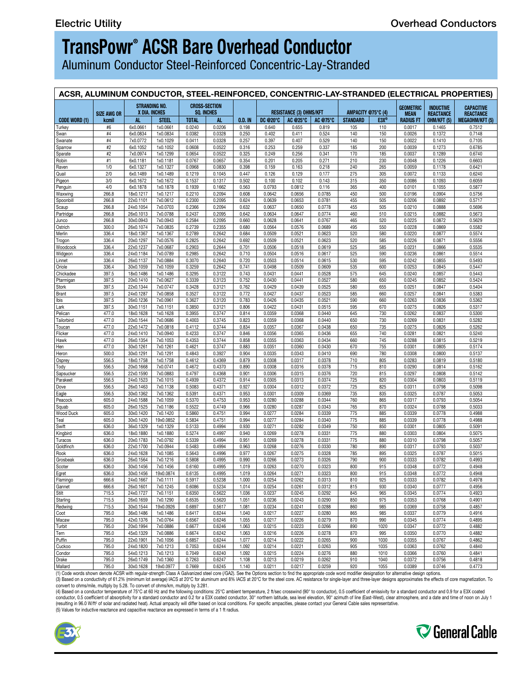## **TransPowr® ACSR Bare Overhead Conductor**

Aluminum Conductor Steel-Reinforced Concentric-Lay-Stranded

| ACSR, ALUMINUM CONDUCTOR, STEEL-REINFORCED, CONCENTRIC-LAY-STRANDED (ELECTRICAL PROPERTIES) |                    |                        |                                           |                      |                      |                  |                  |                                |                  |                                                     |                    |                  |                  |                       |
|---------------------------------------------------------------------------------------------|--------------------|------------------------|-------------------------------------------|----------------------|----------------------|------------------|------------------|--------------------------------|------------------|-----------------------------------------------------|--------------------|------------------|------------------|-----------------------|
|                                                                                             |                    |                        | <b>STRANDING NO.</b>                      |                      | <b>CROSS-SECTION</b> |                  |                  |                                |                  |                                                     |                    | GEOMETRIC        | <b>INDUCTIVE</b> | <b>CAPACITIVE</b>     |
|                                                                                             | <b>SIZE AWG OR</b> |                        | X DIA. INCHES                             |                      | <b>SQ. INCHES</b>    |                  |                  | <b>RESISTANCE (3) OHMS/KFT</b> |                  |                                                     | AMPACITY @75°C (4) | <b>MEAN</b>      | REACTANCE        | <b>REACTANCE</b>      |
| CODE WORD (1)                                                                               | kcmil              | AL.                    | <b>STEEL</b>                              | <b>TOTAL</b>         | AL.                  |                  |                  |                                |                  | 0.D. IN   DC @20°C   AC @25°C   AC @75°C   STANDARD | E3X®               | <b>RADIUS FT</b> | OHM/KFT (5)      | <b>MEGAOHM/KFT (5</b> |
| Turkey<br>Swan                                                                              | #6<br>#4           | 6x0.0661<br>6x0.0834   | 1x0.0661<br>1x0.0834                      | $0.0240$  <br>0.0382 | 0.0206<br>0.0328     | 0.198<br>0.250   | 0.640<br>0.402   | 0.655<br>0.411                 | 0.819<br>0.524   | 105<br>140                                          | 110<br>150         | 0.0017<br>0.0026 | 0.1465<br>0.1372 | 0.7512<br>0.7148      |
| Swanate                                                                                     | #4                 | 7x0.0772               | 1x0.1029                                  | 0.0411               | 0.0328               | 0.257            | 0.397            | 0.407                          | 0.529            | 140                                                 | 150                | 0.0022           | 0.1410           | 0.7105                |
| <u>Sparrow</u>                                                                              | #2                 | 6x0.1052               | 1x0.1052                                  | 0.0608               | 0.0522               | 0.316            | 0.253            | 0.259                          | 0.337            | 185                                                 | 200                | 0.0039           | 0.1273           | 0.6785                |
| Sparate                                                                                     | #2                 |                        | 7x0.0974 1x0.1299                         | 0.0654               | 0.0522               | 0.325            | 0.249            | 0.256                          | 0.341            | 170                                                 | 185                | 0.0037           | 0.1289           | 0.6740                |
| Robin<br>Raven                                                                              | #1<br>1/0          | 6x0.1181<br>6x0.1327   | 1x0.1181<br>1x0.1327                      | 0.0767<br>0.0968     | 0.0657<br>0.0830     | 0.354<br>0.398   | 0.201<br>0.159   | 0.205<br>0.163                 | 0.271<br>0.218   | 210<br>240                                          | 230<br>265         | 0.0048<br>0.0059 | 0.1226<br>0.1178 | 0.6603<br>0.6421      |
| Quail                                                                                       | 2/0                | 6x0.1489               | 1x0.1489                                  | 0.1219               | 0.1045               | 0.447            | 0.126            | 0.129                          | 0.177            | 275                                                 | 305                | 0.0072           | 0.1133           | 0.6240                |
| <b>Pigeon</b>                                                                               | 3/0                | 6x0.1672               | 1x0.1672                                  | 0.1537               | 0.1317               | 0.502            | 0.100            | 0.102                          | 0.143            | 315                                                 | 350                | 0.0086           | 0.1093           | 0.6059                |
| Penguin                                                                                     | 4/0                | 6x0.1878               | 1x0.1878                                  | 0.1939               | 0.1662               | 0.563            | 0.0793           | 0.0812                         | 0.116            | 365                                                 | 400                | 0.0101           | 0.1055           | 0.5877                |
| Waxwing                                                                                     | 266.8              | 18x0.1217              | 1x0.1217                                  | 0.2210               | 0.2094               | 0.608            | 0.0642           | 0.0656                         | 0.0785           | 450                                                 | 500                | 0.0196           | 0.0904           | 0.5756                |
| Spoonbill                                                                                   | 266.8              |                        | 22x0.1101 7x0.0612                        | 0.2300               | 0.2095               | 0.624            | 0.0639           | 0.0653                         | 0.0781           | 455                                                 | 505                | 0.0206           | 0.0892           | 0.5717                |
| <u>Scaup</u><br>Partridge                                                                   | 266.8<br>266.8     | 24x0.1054<br>26x0.1013 | 7x0.0703<br>7x0.0788                      | 0.2366<br>0.2437     | 0.2094<br>0.2095     | 0.632<br>0.642   | 0.0637<br>0.0634 | 0.0650<br>0.0647               | 0.0778<br>0.0774 | 455<br>460                                          | 505<br>510         | 0.0210<br>0.0215 | 0.0888<br>0.0882 | 0.5696<br>0.5673      |
| Junco                                                                                       | 266.8              |                        | 30x0.0943 7x0.0943                        | 0.2584               | 0.2095               | 0.660            | 0.0628           | 0.0641                         | 0.0767           | 465                                                 | 520                | 0.0225           | 0.0872           | 0.5629                |
| Ostrich                                                                                     | 300.0              | 26x0.1074              | 7x0.0835                                  | 0.2739               | 0.2355               | 0.680            | 0.0564           | 0.0576                         | 0.0689           | 495                                                 | 550                | 0.0228           | 0.0869           | 0.5582                |
| Merlin                                                                                      | 336.4              | 18x0.1367              | 1x0.1367                                  | 0.2789               | 0.2642               | 0.684            | 0.0509           | 0.0521                         | 0.0623           | 520                                                 | 580                | 0.0220           | 0.0877           | 0.5574                |
| Trogon                                                                                      | 336.4              | 20x0.1297              | 7x0.0576                                  | 0.2825               | 0.2642               | 0.692            | 0.0509           | 0.0521                         | 0.0623           | 520                                                 | 585                | 0.0226           | 0.0871           | 0.5556                |
| Woodcock                                                                                    | 336.4<br>336.4     | 24x0.1184              | 22x0.1237 7x0.0687<br>7x0.0789            | 0.2903<br>0.2985     | 0.2644<br>0.2642     | 0.701<br>0.710   | 0.0506<br>0.0504 | 0.0518<br>0.0516               | 0.0619<br>0.0617 | 525<br>525                                          | 585<br>590         | 0.0231<br>0.0236 | 0.0866<br>0.0861 | 0.5535<br>0.5514      |
| <u>Nidgeon</u><br>Linnet                                                                    | 336.4              | 26x0.1137              | 7x0.0884                                  | 0.3070               | 0.2640               | 0.720            | 0.0503           | 0.0514                         | 0.0615           | 530                                                 | 595                | 0.0242           | 0.0855           | 0.5493                |
| Oriole                                                                                      | 336.4              | 30x0.1059              | 7x0.1059                                  | 0.3259               | 0.2642               | 0.741            | 0.0498           | 0.0509                         | 0.0609           | 535                                                 | 600                | 0.0253           | 0.0845           | 0.5447                |
| Chickadee                                                                                   | 397.5              | 18x0.1486              | 1x0.1486                                  | 0.3295               | 0.3122               | 0.743            | 0.0431           | 0.0441                         | 0.0528           | 575                                                 | 645                | 0.0240           | 0.0857           | 0.5443                |
| <u>Ptarmigan</u>                                                                            | 397.5              |                        | 20x0.1410   7x0.0627                      | 0.3339               | 0.3123               | 0.752            | 0.0430           | 0.0441                         | 0.0527           | 580                                                 | 650                | 0.0245           | 0.0852           | 0.5424                |
| Stork                                                                                       | 397.5              | 22x0.1344              | 7x0.0747                                  | 0.3428               | 0.3121               | 0.762            | 0.0429           | 0.0439                         | 0.0525           | 580                                                 | 655                | 0.0251           | 0.0847           | 0.5404                |
| Brant                                                                                       | 397.5              |                        | 24x0.1287 7x0.0858                        | 0.3527               | 0.3122               | 0.772            | 0.0427           | 0.0437                         | 0.0523           | 585                                                 | 660                | 0.0257           | 0.0841           | 0.5383                |
|                                                                                             | 397.5              | 26x0.1236<br>30x0.1151 | 7x0.0961<br>7x0.1151                      | 0.3627<br>0.3850     | 0.3120<br>0.3121     | 0.783<br>0.806   | 0.0426<br>0.0422 | 0.0435<br>0.0431               | 0.0521<br>0.0515 | 590<br>595                                          | 660                | 0.0263           | 0.0836<br>0.0826 | 0.5362<br>0.5317      |
| Lark<br>Pelican                                                                             | 397.5<br>477.0     | 18x0.1628              | 1x0.1628                                  | 0.3955               | 0.3747               | 0.814            | 0.0359           | 0.0368                         | 0.0440           | 645                                                 | 670<br>730         | 0.0275<br>0.0262 | 0.0837           | 0.5300                |
| Tailorbird                                                                                  | 477.0              | 20x0.1544              | 7x0.0686                                  | 0.4003               | 0.3745               | 0.823            | 0.0359           | 0.0368                         | 0.0440           | 650                                                 | 730                | 0.0269           | 0.0831           | 0.5282                |
| Toucan                                                                                      | 477.0              |                        | 22x0.1472 7x0.0818                        | 0.4112               | 0.3744               | 0.834            | 0.0357           | 0.0367                         | 0.0438           | 650                                                 | 735                | 0.0275           | 0.0826           | 0.5262                |
| Flicker                                                                                     | 477.0              | 24x0.1410              | 7x0.0940                                  | 0.4233               | 0.3747               | 0.846            | 0.0356           | 0.0365                         | 0.0436           | 655                                                 | 740                | 0.0281           | 0.0821           | 0.5240                |
| <b>Hawk</b>                                                                                 | 477.0              |                        | 26x0.1354 7x0.1053                        | 0.4353               | 0.3744               | 0.858            | 0.0355           | 0.0363                         | 0.0434           | 660                                                 | 745                | 0.0288           | 0.0815           |                       |
|                                                                                             | 477.0              | 30x0.1261              | 7x0.1261                                  | 0.4621               | 0.3747               | 0.883            | 0.0351           | 0.0360                         | 0.0430           | 670                                                 | 755                | 0.0301           | 0.0805           | 0.5174                |
| Heron                                                                                       | 500.0<br>556.5     | 18x0.1758              | 30x0.1291 7x0.1291<br>1x0.1758            | 0.4843<br>0.4612     | 0.3927<br>0.4369     | 0.904<br>0.879   | 0.0335<br>0.0308 | 0.0343<br>0.0317               | 0.0410<br>0.0378 | 690<br>710                                          | 780                | 0.0308<br>0.0283 | 0.0800<br>0.0819 | 0.5137                |
| <u>Osprey</u><br><b>Tody</b>                                                                | 556.5              | 20x0.1668              | 7x0.0741                                  | 0.4672               | 0.4370               | 0.890            | 0.0308           | 0.0316                         | 0.0378           | 715                                                 | 805<br>810         | 0.0290           | 0.0814           | 0.5180<br>0.5162      |
| Sapsucker                                                                                   | 556.5              | 22x0.1590              | 7x0.0883                                  | 0.4797               | 0.4368               | 0.901            | 0.0306           | 0.0315                         | 0.0376           | 720                                                 | 815                | 0.0297           | 0.0808           | 0.5142                |
| Parakeet                                                                                    | 556.5              | 24x0.1523              | 7x0.1015                                  | 0.4939               | 0.4372               | 0.914            | 0.0305           | 0.0313                         | 0.0374           | 725                                                 | 820                | 0.0304           | 0.0803           | 0.5119                |
| Dove                                                                                        | 556.5              |                        | 26x0.1463 7x0.1138                        | 0.5083               | 0.4371               | 0.927            | 0.0304           | 0.0312                         | 0.0372           | 725                                                 | 825                | 0.0311           | 0.0798           | 0.5098                |
| <u>Eagle</u>                                                                                | 556.5              | 30x0.1362              | 7x0.1362                                  | 0.5391               | 0.4371               | 0.953            | 0.0301           | 0.0309                         | 0.0369           | 735                                                 | 835                | 0.0325           | 0.0787           | 0.5053                |
| Peacock                                                                                     | 605.0              | 24x0.1588              | 7x0.1059                                  | 0.5370               | 0.4753               | 0.953            | 0.0280           | 0.0288                         | 0.0344           | 760                                                 | 865                | 0.0317           | 0.0793           | 0.5054                |
| Squab<br>Wood Duck                                                                          | 605.0<br>605.0     | 26x0.1525<br>30x0.1420 | 7x0.1186<br>7x0.1420                      | 0.5522<br>0.5860     | 0.4749<br>0.4751     | 0.966<br>0.994   | 0.0280<br>0.0277 | 0.0287<br>0.0284               | 0.0343<br>0.0339 | 765<br>775                                          | 870<br>885         | 0.0324<br>0.0339 | 0.0788<br>0.0778 | 0.5033<br>0.4988      |
|                                                                                             | 605.0              | 30x0.1420              | 19x0.0852                                 | 0.5834               | 0.4751               | 0.994            | 0.0277           | 0.0284                         | 0.0340           | 775                                                 | 885                | 0.0339           | 0.0778           | 0.4988                |
| Swift                                                                                       | 636.0              | 36x0.1329              | 1x0.1329                                  | 0.5133               | 0.4994               | 0.930            | 0.0271           | 0.0282                         | 0.0349           | 750                                                 | 850                | 0.0301           | 0.0805           | 0.5091                |
| Kingbird                                                                                    | 636.0              |                        | 18x0.1880 1x0.1880                        | 0.5274               | 0.4997               | 0.940            | 0.0269           | 0.0278                         | 0.0331           | 775                                                 | 880                | 0.0303           | 0.0804           | 0.5075                |
| Turacos                                                                                     | 636.0              | 20x0.1783              | 7x0.0792                                  | 0.5339               | 0.4994               | 0.951            | 0.0269           | 0.0278                         | 0.0331           | 775                                                 | 880                | 0.0310           | 0.0798           | 0.5057                |
| Goldfinch<br>Rook                                                                           | 636.0<br>636.0     | 22x0.1700<br>24x0.1628 | 7x0.0944<br>7x0.1085                      | 0.5483<br>0.5643     | 0.4994<br>0.4996     | 0.963<br>0.977   | 0.0268<br>0.0267 | 0.0276<br>0.0275               | 0.0330<br>0.0328 | 780<br>785                                          | 890                | 0.0317           | 0.0793           | 0.5037<br>0.5015      |
| Grosbeak                                                                                    | 636.0              | 26x0.1564              | 7x0.1216                                  | 0.5808               | 0.4995               | 0.990            | 0.0266           | 0.0273                         | 0.0326           | 790                                                 | 895<br>900         | 0.0325<br>0.0333 | 0.0787<br>0.0782 | 0.4993                |
| Scoter                                                                                      | 636.0              | 30x0.1456              | 7x0.1456                                  | 0.6160               | 0.4995               | 1.019            | 0.0263           | 0.0270                         | 0.0323           | 800                                                 | 915                | 0.0348           | 0.0772           | 0.4948                |
| Egret                                                                                       | 636.0              | 30x0.1456              | 19x0.0874                                 | 0.6135               | 0.4995               | 1.019            | 0.0264           | 0.0271                         | 0.0323           | 800                                                 | 915                | 0.0348           | 0.0772           | 0.4948                |
| Flamingo                                                                                    | 666.6              |                        | 24x0.1667   7x0.1111                      | $0.5917$             | $0.5238$             | $1.000$          | 0.0254           | 0.0262                         | 0.0313           | 810                                                 | 925                | 0.0333           | 0.0782           | 0.4978                |
| Gannet                                                                                      | 666.6              |                        | 26x0.1601   7x0.1245                      | 0.6086               | 0.5234               | 1.014            | 0.0254           | 0.0261                         | 0.0312           | 815                                                 | 930                | 0.0340           | 0.0777           | 0.4956                |
| Stilt                                                                                       | 715.5              |                        | 24x0.1727 7x0.1151                        | 0.6350               | 0.5622               | 1.036            | 0.0237           | 0.0245                         | 0.0292           | 845                                                 | 965                | 0.0345           | 0.0774           | 0.4923                |
| Starling                                                                                    | 715.5              |                        | 26x0.1659 7x0.1290                        | 0.6535               | 0.5620               | 1.051            | 0.0236           | 0.0243                         | 0.0290           | 850                                                 | 975                | 0.0353           | 0.0768           | 0.4901<br>0.4857      |
| Redwing<br>Coot                                                                             | 715.5<br>795.0     |                        | 30x0.1544 19x0.0926<br>36x0.1486 1x0.1486 | 0.6897<br>0.6417     | 0.5617<br>0.6244     | 1.081<br>1.040   | 0.0234<br>0.0217 | 0.0241<br>0.0227               | 0.0288<br>0.0280 | 860<br>865                                          | 985<br>985         | 0.0369<br>0.0337 | 0.0758<br>0.0779 | 0.4916                |
| Macaw                                                                                       | 795.0              |                        | 42x0.1376 7x0.0764                        | 0.6567               | 0.6246               | 1.055            | 0.0217           | 0.0226                         | 0.0279           | 870                                                 | 990                | 0.0345           | 0.0774           | 0.4895                |
| Turbit                                                                                      | 795.0              |                        | 20x0.1994 7x0.0886                        | $0.6677$             | 0.6246               | 1.063            | 0.0215           | 0.0223                         | 0.0266           | 890                                                 | 1020               | 0.0347           | 0.0772           | 0.4882                |
| Tern                                                                                        | 795.0              |                        | 45x0.1329 7x0.0886                        | 0.6674               |                      | $0.6242$   1.063 | 0.0216           | 0.0226                         | 0.0278           | 870                                                 | 995                | 0.0350           | 0.0770           | 0.4882                |
| Puffin                                                                                      | 795.0              |                        | 22x0.1901 7x0.1056                        | $0.6857$             | 0.6244               | 1.077            | 0.0214           | 0.0222                         | 0.0265           | 900                                                 | 1030               | 0.0355           | 0.0767           | 0.4862                |
| Cuckoo                                                                                      | 795.0              |                        | 24x0.1820 7x0.1213                        | 0.7053               | 0.6244               | 1.092            | 0.0214           | 0.0221                         | 0.0263           | 905                                                 | 1035               | 0.0363           | 0.0762           | 0.4840                |
| Condor                                                                                      | 795.0              |                        | 54x0.1213 7x0.1213                        | 0.7049               | 0.6240               | 1.092            | 0.0215           | 0.0224                         | 0.0276           | 880                                                 | 1010               | 0.0366           | 0.0760           | 0.4841                |
| Drake                                                                                       | 795.0              |                        | 26x0.1749 7x0.1360                        | 0.7263               | 0.6247               | 1.108            | 0.0213           | 0.0219                         | 0.0262           | 910                                                 | 1040               | 0.0372           | 0.0756           | 0.4818                |
| Mallard                                                                                     | 795.0              |                        | 30x0.1628 30x0.0977                       | 0.7669               | 0.6245               | $1.140$          | 0.0211           | 0.0217                         | 0.0259           | 920                                                 | 1055               | 0.0389           | 0.0746           | 0.4773                |

(1) Code words shown denote ACSR with regular-strength Class A Galvanized steel core (/GA2). See the Options section to find the appropriate code word modifier designation for alternative design options.<br>(3) Based on a co

convert to ohms/mile, multiply by 5.28. To convert of ohms/km, multiply by 3.281.<br>(4) Based on a conductor temperature of 75°C at 60 Hz and the following conditions: 25°C ambient temperature, 2 ft/sec crosswind (90° to con conductor, 0.5 coefficient of absorptivity for a standard conductor and 0.2 for a E3X coated conductor, 30° northern lattude, sea level elevation, 90° azimuth of line (East-West), clear atmosphere, and a date and time of n

(resulting in 96.0 W/ft<sup>2</sup> of solar and radiated heat). Actual ampacity will differ based on local conditions. For specific ampacities, please contact your General Cable sales representative.<br>(5) Values for inductive react



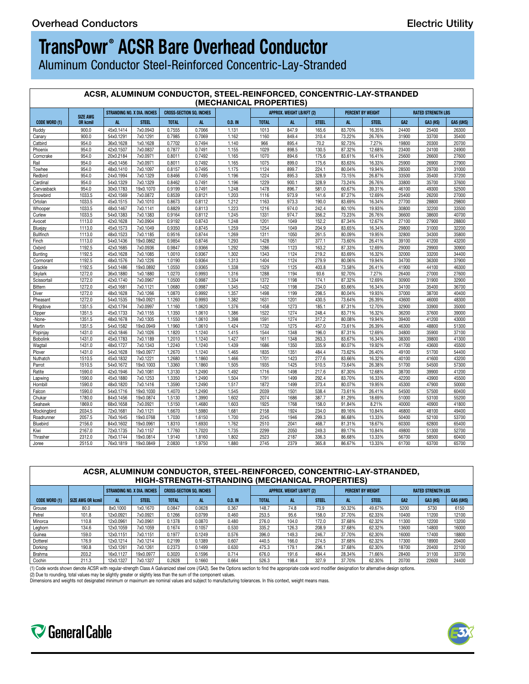## **TransPowr ® ACSR Bare Overhead Conductor**

Aluminum Conductor Steel-Reinforced Concentric-Lay-Stranded

#### **ACSR, ALUMINUM CONDUCTOR, STEEL-REINFORCED, CONCENTRIC-LAY-STRANDED (MECHANICAL PROPERTIES)**

|                      |                 |                                                        |                                        |              |        | <b>INCOLANDAL FROFERILLS</b> |              |                           |        |        |                          |       |                           |                  |  |
|----------------------|-----------------|--------------------------------------------------------|----------------------------------------|--------------|--------|------------------------------|--------------|---------------------------|--------|--------|--------------------------|-------|---------------------------|------------------|--|
|                      | <b>SIZE AWG</b> | STRANDING NO. X DIA. INCHES   CROSS-SECTION SQ. INCHES |                                        |              |        |                              |              | APPROX. WEIGHT LB/KFT (2) |        |        | <b>PERCENT BY WEIGHT</b> |       | <b>RATED STRENGTH LBS</b> |                  |  |
| <b>CODE WORD (1)</b> | <b>OR kcmil</b> | AL.                                                    | STEEL.                                 | <b>TOTAL</b> | AL.    | 0.D. IN                      | <b>TOTAL</b> | AL                        | STEEL. | AL .   | <b>STEEL</b>             | GA2   | <b>GA3 (HS)</b>           | <b>GA5 (UHS)</b> |  |
| Ruddy                | 900.0           |                                                        | 45x0.1414   7x0.0943   0.7555   0.7066 |              |        | 1.131                        | 1013         | 847.9                     | 165.6  | 83.70% | 16.35%                   | 24400 | 25400                     | 26300            |  |
| Canary               | 900.0           |                                                        | 54x0.1291   7x0.1291                   | 0.7985       | 0.7069 | 1.162                        | 1160         | 849.4                     | 310.4  | 73.22% | 26.76%                   | 31900 | 33700                     | 35400            |  |
| Catbird              | 954.0           |                                                        | 36x0.1628   1x0.1628   0.7702   0.7494 |              |        | 1.140                        | 966          | 895.4                     | 70.2   | 92.73% | 7.27%                    | 19800 | 20300                     | 20700            |  |
| Phoenix              | 954.0           |                                                        | 42x0.1507   7x0.0837   0.7877   0.7491 |              |        | 1.155                        | 1029         | 898.5                     | 130.5  | 87.32% | 12.68%                   | 23400 | 24100                     | 24900            |  |
| Corncrake            | 954.0           | 20x0.2184                                              | 7x0.0971 0.8011                        |              | 0.7492 | 1.165                        | 1070         | 894.6                     | 175.6  | 83.61% | 16.41%                   | 25600 | 26600                     | 27600            |  |
| Rail                 | 954.0           | 45x0.1456                                              | 7x0.0971                               | 0.8011       | 0.7492 | 1.165                        | 1075         | 899.0                     | 175.6  | 83.63% | 16.33%                   | 25900 | 26900                     | 27900            |  |
| Towhee               | 954.0           | 48x0.1410                                              | 7x0.1097                               | 0.8157       | 0.7495 | 1.175                        | 1124         | 899.7                     | 224.1  | 80.04% | 19.94%                   | 28500 | 29700                     | 31000            |  |
| Redbird              | 954.0           |                                                        | 24x0.1994 7x0.1329                     | 0.8466       | 0.7495 | 1.196                        | 1224         | 895.3                     | 328.9  | 73.15% | 26.87%                   | 33500 | 35400                     | 37200            |  |
| Cardinal             | 954.0           |                                                        | 54x0.1329 7x0.1329                     | 0.8462       | 0.7491 | 1.196                        | 1229         | 900.1                     | 328.9  | 73.24% | 26.76%                   | 33800 | 35700                     | 37600            |  |
| Canvasback           | 954.0           |                                                        | 30x0.1783   19x0.1070   0.9199         |              | 0.7491 | 1.248                        | 1478         | 896.7                     | 581.0  | 60.67% | 39.31%                   | 46100 | 49300                     | 52500            |  |
| Snowbird             | 1033.5          |                                                        | 42x0.1569   7x0.0872   0.8539          |              | 0.8121 | 1.203                        | 1116         | 973.9                     | 141.6  | 87.27% | 12.69%                   | 25400 | 26200                     | 27000            |  |
| Ortolan              | 1033.5          |                                                        | 45x0.1515   7x0.1010   0.8673          |              | 0.8112 | 1.212                        | 1163         | 973.3                     | 190.0  | 83.69% | 16.34%                   | 27700 | 28800                     | 29800            |  |
| Whooper              | 1033.5          |                                                        | 48x0.1467 7x0.1141                     | 0.8829       | 0.8113 | 1.223                        | 1216         | 974.0                     | 242.4  | 80.10% | 19.93%                   | 30800 | 32200                     | 33500            |  |
| Curlew               | 1033.5          |                                                        | 54x0.1383   7x0.1383   0.9164          |              | 0.8112 | 1.245                        | 1331         | 974.7                     | 356.2  | 73.23% | 26.76%                   | 36600 | 38600                     | 40700            |  |
| Avocet               | 1113.0          |                                                        | 42x0.1628 7x0.0904 0.9192              |              | 0.8743 | 1.248                        | 1201         | 1049                      | 152.2  | 87.34% | 12.67%                   | 27100 | 27900                     | 28800            |  |
|                      | 1113.0          |                                                        | 45x0.1573 7x0.1049 0.9350              |              | 0.8745 | 1.259                        | 1254         | 1049                      | 204.9  | 83.65% | 16.34%                   | 29800 |                           | 32200            |  |
| Bluejay<br>Bullfinch |                 |                                                        | 48x0.1523 7x0.1185 0.9516              |              | 0.8744 | 1.269                        | 1311         | 1050                      | 261.5  | 80.09% |                          |       | 31000<br>34300            | 35800            |  |
|                      | 1113.0          |                                                        |                                        |              |        |                              |              |                           |        |        | 19.95%                   | 32800 |                           |                  |  |
| Finch                | 1113.0          |                                                        | 54x0.1436   19x0.0862   0.9854         |              | 0.8746 | 1.293                        | 1428         | 1051                      | 377.1  | 73.60% | 26.41%                   | 39100 | 41200                     | 43200            |  |
| Oxbird               | 1192.5          |                                                        | 42x0.1685 7x0.0936 l                   | 0.9847       | 0.9366 | 1.292                        | 1286         | 1123                      | 163.2  | 87.33% | 12.69%                   | 29000 | 29900                     | 30900            |  |
| Bunting              | 1192.5          |                                                        | 45x0.1628 7x0.1085                     | 1.0010       | 0.9367 | 1.302                        | 1343         | 1124                      | 219.2  | 83.69% | 16.32%                   | 32000 | 33200                     | 34400            |  |
| Cormorant            | 1192.5          |                                                        | 48x0.1576 7x0.1226                     | 1.0190       | 0.9364 | 1.313                        | 1404         | 1124                      | 279.9  | 80.06% | 19.94%                   | 34700 | 36300                     | 37900            |  |
| Grackle              | 1192.5          |                                                        | 54x0.1486   19x0.0892   1.0550         |              | 0.9365 | 1.338                        | 1529         | 1125                      | 403.8  | 73.58% | 26.41%                   | 41900 | 44100                     | 46300            |  |
| Skylark              | 1272.0          | 36x0.1880                                              | 1x0.1880                               | 1.0270       | 0.9993 | 1.316                        | 1288         | 1194                      | 93.6   | 92.70% | 7.27%                    | 26400 | 27000                     | 27600            |  |
| Scissortail          | 1272.0          | 42x0.1740                                              | 7x0.0967                               | 1.0500       | 0.9987 | 1.334                        | 1372         | 1198                      | 174.1  | 87.32% | 12.69%                   | 30900 | 31900                     | 32900            |  |
| Bittern              | 1272.0          | 45x0.1681                                              | 7x0.1121                               | 1.0680       | 0.9987 | 1.345                        | 1432         | 1198                      | 234.0  | 83.66% | 16.34%                   | 34100 | 35400                     | 36700            |  |
| Diver                | 1272.0          |                                                        | 48x0.1628 7x0.1266                     | 1.0870       | 0.9992 | 1.357                        | 1498         | 1199                      | 298.5  | 80.04% | 19.93%                   | 37000 | 38700                     | 40400            |  |
| Pheasant             | 1272.0          |                                                        | 54x0.1535   19x0.0921   1.1260         |              | 0.9993 | 1.382                        | 1631         | 1201                      | 430.5  | 73.64% | 26.39%                   | 43600 | 46000                     | 48300            |  |
| Ringdove             | 1351.5          |                                                        | 42x0.1794 7x0.0997 1.1160              |              | 1.0620 | 1.376                        | 1458         | 1273                      | 185.1  | 87.31% | 12.70%                   | 32900 | 33900                     | 35000            |  |
| Dipper               | 1351.5          |                                                        | 45x0.1733 7x0.1155 1.1350              |              | 1.0610 | 1.386                        | 1522         | 1274                      | 248.4  | 83.71% | 16.32%                   | 36200 | 37600                     | 39000            |  |
| -None-               | 1351.5          |                                                        | 48x0.1678 7x0.1305 1.1550              |              | 1.0610 | 1.398                        | 1591         | 1274                      | 317.2  | 80.08% | 19.94%                   | 39400 | 41200                     | 43000            |  |
| Martin               | 1351.5          |                                                        | 54x0.1582   19x0.0949   1.1960         |              | 1.0610 | 1.424                        | 1732         | 1275                      | 457.0  | 73.61% | 26.39%                   | 46300 | 48800                     | 51300            |  |
| Popinjay             | 1431.0          |                                                        | 42x0.1846 7x0.1026 1.1820              |              | 1.1240 | 1.415                        | 1544         | 1348                      | 196.0  | 87.31% | 12.69%                   | 34800 | 35900                     | 37100            |  |
| Bobolink             | 1431.0          |                                                        | 45x0.1783 7x0.1189 1.2010              |              | 1.1240 | 1.427                        | 1611         | 1348                      | 263.3  | 83.67% | 16.34%                   | 38300 | 39800                     | 41300            |  |
| Wagtail              | 1431.0          |                                                        | 48x0.1727 7x0.1343 1.2240              |              | 1.1240 | 1.439                        | 1686         | 1350                      | 335.9  | 80.07% | 19.92%                   | 41700 | 43600                     | 45500            |  |
| Plover               | 1431.0          |                                                        | 54x0.1628 19x0.0977 1 1.2670           |              | 1.1240 | 1.465                        | 1835         | 1351                      | 484.4  | 73.62% | 26.40%                   | 49100 | 51700                     | 54400            |  |
| Nuthatch             | 1510.5          |                                                        | 45x0.1832 7x0.1221 1.2680              |              | 1.1860 | 1.466                        | 1701         | 1423                      | 277.6  | 83.66% | 16.32%                   | 40100 | 41600                     | 43200            |  |
| Parrot               | 1510.5          |                                                        | 54x0.1672 19x0.1003                    | 1.3360       | 1.1860 | 1.505                        | 1935         | 1425                      | 510.5  | 73.64% | 26.38%                   | 51700 | 54500                     | 57300            |  |
|                      |                 |                                                        |                                        |              |        |                              |              |                           |        |        |                          |       |                           |                  |  |
| Ratite               | 1590.0          |                                                        | 42x0.1946 7x0.1081                     | 1.3130       | 1.2490 | 1.492                        | 1716         | 1498                      | 217.6  | 87.30% | 12.68%                   | 38700 | 39900                     | 41200            |  |
| Lapwing              | 1590.0          |                                                        | 45x0.1880 7x0.1253 1.3350              |              | 1.2490 | 1.504                        | 1791         | 1499                      | 292.4  | 83.70% | 16.33%                   | 42200 | 43900                     | 45500            |  |
| Hornbill             | 1590.0          |                                                        | 48x0.1820 7x0.1416 1.3590              |              | 1.2490 | 1.517                        | 1872         | 1499                      | 373.4  | 80.07% | 19.95%                   | 45300 | 47900                     | 50000            |  |
| Falcon               | 1590.0          |                                                        | 54x0.1716   19x0.1030   1.4070         |              | 1.2490 | 1.545                        | 2039         | 1501                      | 538.4  | 73.61% | 26.41%                   | 54500 | 57500                     | 60400            |  |
| Chukar               | 1780.0          |                                                        | 84x0.1456   19x0.0874   1.5130         |              | 1.3990 | 1.602                        | 2074         | 1686                      | 387.7  | 81.29% | 18.69%                   | 51000 | 53100                     | 55200            |  |
| Seahawk              | 1869.0          |                                                        | 68x0.1658 7x0.0921 1.5150              |              | 1.4680 | 1.603                        | 1925         | 1768                      | 158.0  | 91.84% | 8.21%                    | 40000 | 40900                     | 41800            |  |
| Mockingbird          | 2034.5          | 72x0.1681                                              | 7x0.1121                               | 1.6670       | 1.5980 | 1.681                        | 2158         | 1924                      | 234.0  | 89.16% | 10.84%                   | 46800 | 48100                     | 49400            |  |
| Roadrunner           | 2057.5          |                                                        | 76x0.1645   19x0.0768                  | 1.7030       | 1.6150 | 1.700                        | 2245         | 1946                      | 299.3  | 86.68% | 13.33%                   | 50400 | 52100                     | 53700            |  |
| Bluebird             | 2156.0          |                                                        | 84x0.1602 19x0.0961                    | 1.8310       | 1.6930 | 1.762                        | 2510         | 2041                      | 468.7  | 81.31% | 18.67%                   | 60300 | 62800                     | 65400            |  |
| Kiwi                 | 2167.0          |                                                        | 72x0.1735 7x0.1157                     | 1.7760       | 1.7020 | 1.735                        | 2299         | 2050                      | 249.3  | 89.17% | 10.84%                   | 49800 | 51300                     | 52700            |  |
| Thrasher             | 2312.0          |                                                        | 76x0.1744   19x0.0814                  | 1.9140       | 1.8160 | 1.802                        | 2523         | 2187                      | 336.3  | 86.68% | 13.33%                   | 56700 | 58500                     | 60400            |  |
| Joree                | 2515.0          |                                                        | 76x0.1819   19x0.0849   2.0830         |              | 1.9750 | 1.880                        | 2745         | 2379                      | 365.8  | 86.67% | 13.33%                   | 61700 | 63700                     | 65700            |  |
|                      |                 |                                                        |                                        |              |        |                              |              |                           |        |        |                          |       |                           |                  |  |

### **ACSR, ALUMINUM CONDUCTOR, STEEL-REINFORCED, CONCENTRIC-LAY-STRANDED, HIGH-STRENGTH-STRANDING (MECHANICAL PROPERTIES)**

|                      |                 |                                                        |              |              | ______                  |         |              |                           | _____         |                    |                   |       |                           |                       |  |  |  |
|----------------------|-----------------|--------------------------------------------------------|--------------|--------------|-------------------------|---------|--------------|---------------------------|---------------|--------------------|-------------------|-------|---------------------------|-----------------------|--|--|--|
|                      |                 | STRANDING NO. X DIA. INCHES   CROSS-SECTION SQ. INCHES |              |              |                         |         |              | APPROX. WEIGHT LB/KFT (2) |               |                    | PERCENT BY WEIGHT |       | <b>RATED STRENGTH LBS</b> |                       |  |  |  |
| <b>CODE WORD (1)</b> | SIZE AWG OR kcm |                                                        | <b>STEEL</b> |              |                         | 0.D. IN | <b>IVIAL</b> |                           |               |                    |                   |       | <b>GA3 (HS)</b>           | <b>GA5 (UHS</b>       |  |  |  |
| Grouse               |                 | 8x0.1000                                               | 1x0.1670     | 0.0847       | 0.0628                  | 0.367   | 148.7        | 74.8                      |               | 50.32 <sup>c</sup> | 49.67%            | 5200  | 5730                      | 6150                  |  |  |  |
| Petrel               | 101.8           | 12.0000                                                | 7x0.0921     | <b>11000</b> |                         | 0.460   | 253.5        | 95.6                      | 158.0         |                    | 62.33%            | 10400 | 11200                     | 12100                 |  |  |  |
| Minorca              | 110.8           | 12x0.096                                               | 7x0.0961     | 0.1378       |                         | 0.480   | 276.0        |                           | 172.0         |                    | 62.32%            | 11300 | 12200                     | 13200                 |  |  |  |
| Leghorn              | 134.6           | 12x0.1059                                              | 7x0.1059     | 0.1674       | 0.1057                  | 0.530   | 335.2        | 126.3                     |               |                    | 62.32%            | 13600 | 14800                     | 16000                 |  |  |  |
| Guinea               | 159.0           | 12x0.1151                                              | 7x0.1151     | 0.1977       | 0.1010<br><b>U.1249</b> | 0.576   | 396.0        | 149.3                     | 0.40<br>240.T |                    | 62.30%            | 16000 | 17400                     | 18800                 |  |  |  |
| Dotterel             | 176.9           | 12x0.1214                                              | 7x0.1214     | 0.2199       | U. I 902                | 0.607   | 440.5        | 166.0                     | 274.5         | 37.68%             | 62.32%            | 17300 | 18900                     | $\frac{20400}{22100}$ |  |  |  |
| Dorking              | 190.8           | 12x0.1261                                              | 7x0.1261     | 0.2373       | U. 1499                 | 0.630   | 475.3        | 179.1                     | 296.          | 37.68%             | 62.30%            | 18700 | 20400                     |                       |  |  |  |
| Brahma               | 203.2           | 16x0.112                                               | 19x0.0977    | 0.3020       | 0.1500                  | 0.714   | 6760         |                           | 484.4         |                    | 1.66%             | 28400 | 31100                     | 33700                 |  |  |  |
| Cochin               | 2113            | 12x0.1327                                              | 7x0.1327     | 0.2628       | 0.1660                  | 0.664   | 526.3        |                           | 227           |                    | 62.30%            | 20700 | 22600                     | 24400                 |  |  |  |

(1) Code words shown denote ACSR with regular-strength Class A Galvanized steel core /(GA2). See the Options section to find the appropriate code word modifier designation for alternative design options.<br>(2) Due to roundin